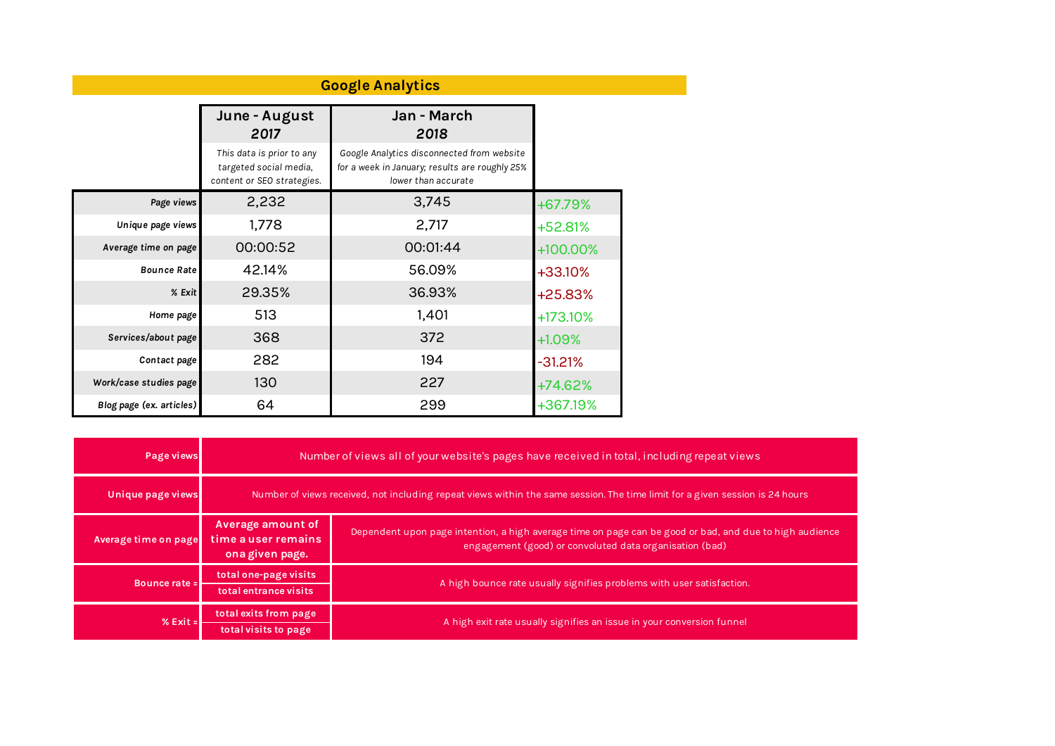| <b>Google Analytics</b>  |                                                                                   |                                                                                                                     |           |  |  |  |  |  |
|--------------------------|-----------------------------------------------------------------------------------|---------------------------------------------------------------------------------------------------------------------|-----------|--|--|--|--|--|
|                          | June - August<br>2017                                                             | Jan - March<br>2018                                                                                                 |           |  |  |  |  |  |
|                          | This data is prior to any<br>targeted social media,<br>content or SEO strategies. | Google Analytics disconnected from website<br>for a week in January; results are roughly 25%<br>lower than accurate |           |  |  |  |  |  |
| Page views               | 2,232                                                                             | 3,745                                                                                                               | +67.79%   |  |  |  |  |  |
| Unique page views        | 1,778                                                                             | 2,717                                                                                                               | +52.81%   |  |  |  |  |  |
| Average time on page     | 00:00:52                                                                          | 00:01:44                                                                                                            | +100.00%  |  |  |  |  |  |
| <b>Bounce Rate</b>       | 42.14%                                                                            | 56.09%                                                                                                              | +33.10%   |  |  |  |  |  |
| % Exit                   | 29.35%                                                                            | 36.93%                                                                                                              | +25.83%   |  |  |  |  |  |
| Home page                | 513                                                                               | 1,401                                                                                                               | +173.10%  |  |  |  |  |  |
| Services/about page      | 368                                                                               | 372                                                                                                                 | $+1.09%$  |  |  |  |  |  |
| Contact page             | 282                                                                               | 194                                                                                                                 | $-31.21%$ |  |  |  |  |  |
| Work/case studies page   | 130                                                                               | 227                                                                                                                 | +74.62%   |  |  |  |  |  |
| Blog page (ex. articles) | 64                                                                                | 299                                                                                                                 | +367.19%  |  |  |  |  |  |

| Page views           | Number of views all of your website's pages have received in total, including repeat views                                   |                                                                                                                                                                    |  |  |  |  |
|----------------------|------------------------------------------------------------------------------------------------------------------------------|--------------------------------------------------------------------------------------------------------------------------------------------------------------------|--|--|--|--|
| Unique page views    | Number of views received, not including repeat views within the same session. The time limit for a given session is 24 hours |                                                                                                                                                                    |  |  |  |  |
| Average time on page | Average amount of<br>time a user remains<br>ona given page.                                                                  | Dependent upon page intention, a high average time on page can be good or bad, and due to high audience<br>engagement (good) or convoluted data organisation (bad) |  |  |  |  |
| Bounce rate =        | total one-page visits<br>total entrance visits                                                                               | A high bounce rate usually signifies problems with user satisfaction.                                                                                              |  |  |  |  |
| % $Exit =$           | total exits from page<br>total visits to page                                                                                | A high exit rate usually signifies an issue in your conversion funnel                                                                                              |  |  |  |  |